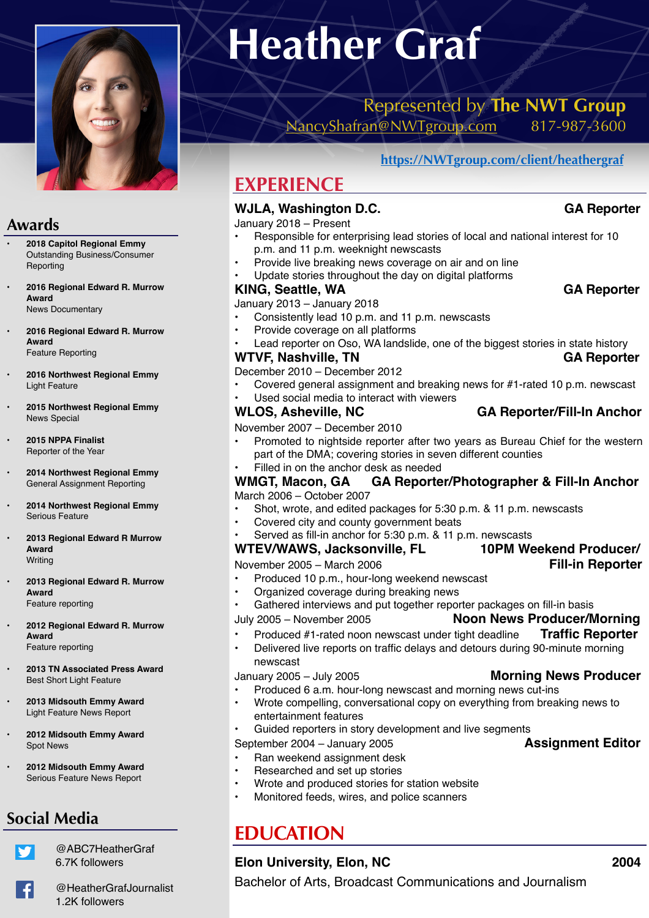

## **Awards**

- **• 2018 Capitol Regional Emmy**  Outstanding Business/Consumer **Reporting**
- **• 2016 Regional Edward R. Murrow Award**  News Documentary
- **• 2016 Regional Edward R. Murrow Award** Feature Reporting
- **• 2016 Northwest Regional Emmy**  Light Feature
- **• 2015 Northwest Regional Emmy**  News Special
- **• 2015 NPPA Finalist** Reporter of the Year
- **• 2014 Northwest Regional Emmy**  General Assignment Reporting
- **• 2014 Northwest Regional Emmy**  Serious Feature
- **• 2013 Regional Edward R Murrow Award** Writing
- **• 2013 Regional Edward R. Murrow Award**  Feature reporting
- **• 2012 Regional Edward R. Murrow Award**  Feature reporting
- **• 2013 TN Associated Press Award**  Best Short Light Feature
- **• 2013 Midsouth Emmy Award** Light Feature News Report
- **• 2012 Midsouth Emmy Award**  Spot News
- **• 2012 Midsouth Emmy Award**  Serious Feature News Report

# **Social Media**

@ABC7HeatherGraf 6.7K followers

# **Heather Graf**

## Represented by **The NWT Group**  [NancyShafran@NWTgroup.com](mailto:NancyShafran@nwtgroup.com) 817-987-3600

**[https://NWTgroup.com/client/heathergraf](https://nwtgroup.com/client/heathergraf)**

# **EXPERIENCE**

## WJLA, Washington D.C. **GA Reporter GA Reporter**

January 2018 – Present

- Responsible for enterprising lead stories of local and national interest for 10 p.m. and 11 p.m. weeknight newscasts
- Provide live breaking news coverage on air and on line
- Update stories throughout the day on digital platforms

#### KING, Seattle, WA **GA Reporter**

January 2013 – January 2018

- Consistently lead 10 p.m. and 11 p.m. newscasts
- Provide coverage on all platforms

Lead reporter on Oso, WA landslide, one of the biggest stories in state history

#### **WTVF, Nashville, TN** GA Reporter

December 2010 – December 2012

- Covered general assignment and breaking news for #1-rated 10 p.m. newscast
- Used social media to interact with viewers

#### WLOS, Asheville, NC **GA Reporter/Fill-In Anchor**

November 2007 – December 2010

- Promoted to nightside reporter after two years as Bureau Chief for the western part of the DMA; covering stories in seven different counties
- Filled in on the anchor desk as needed

#### **WMGT, Macon, GA GA Reporter/Photographer & Fill-In Anchor**  March 2006 – October 2007

- Shot, wrote, and edited packages for 5:30 p.m. & 11 p.m. newscasts
- Covered city and county government beats
- Served as fill-in anchor for 5:30 p.m. & 11 p.m. newscasts

#### **WTEV/WAWS, Jacksonville, FL 10PM Weekend Producer/**

November 2005 – March 2006 **Fill-in Reporter**

- Produced 10 p.m., hour-long weekend newscast
- Organized coverage during breaking news
- Gathered interviews and put together reporter packages on fill-in basis

July 2005 – November 2005 **Noon News Producer/Morning** 

- Produced #1-rated noon newscast under tight deadline **Traffic Reporter**
- Delivered live reports on traffic delays and detours during 90-minute morning newscast

- Produced 6 a.m. hour-long newscast and morning news cut-ins
- Wrote compelling, conversational copy on everything from breaking news to entertainment features
- Guided reporters in story development and live segments
- September 2004 January 2005 **Assignment Editor**
- Ran weekend assignment desk
- Researched and set up stories
- Wrote and produced stories for station website
- Monitored feeds, wires, and police scanners

# **EDUCATION**

### **Elon University, Elon, NC 2004**

Bachelor of Arts, Broadcast Communications and Journalism

- January 2005 July 2005 **Morning News Producer**
	-
	-
	-